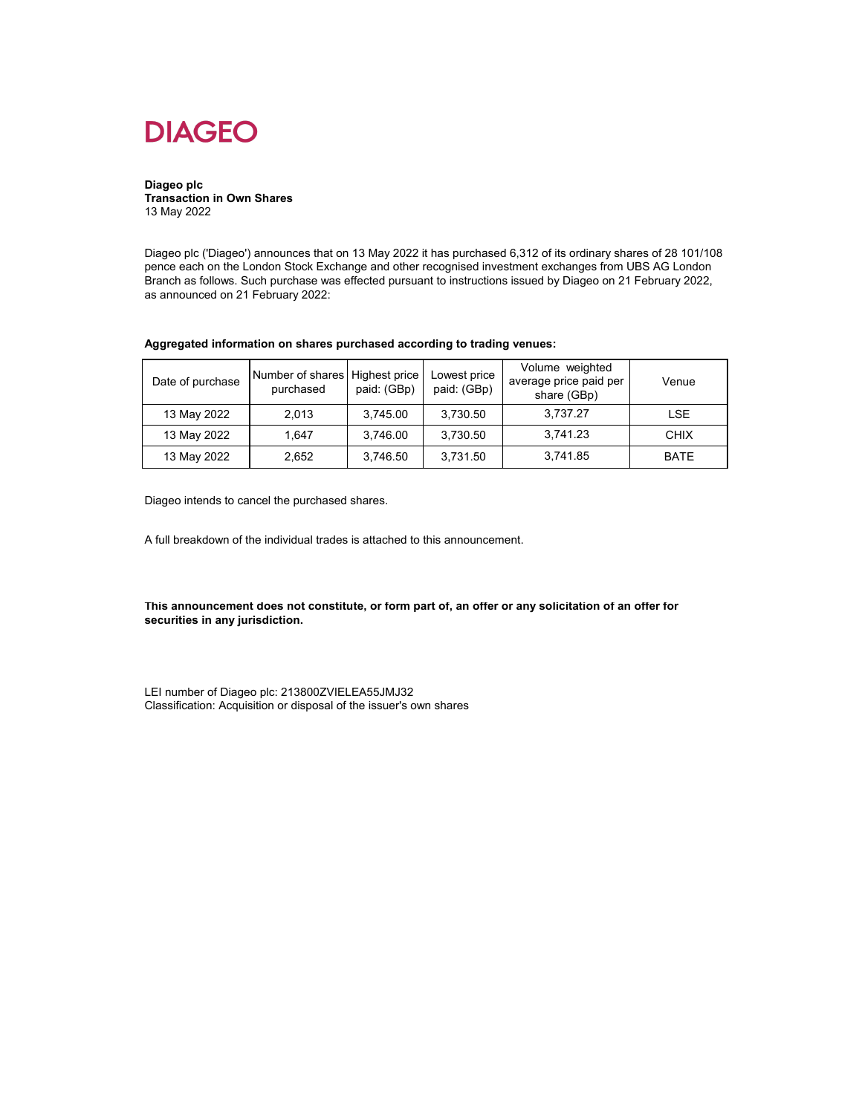

**Diageo plc Transaction in Own Shares** 13 May 2022

Diageo plc ('Diageo') announces that on 13 May 2022 it has purchased 6,312 of its ordinary shares of 28 101/108 pence each on the London Stock Exchange and other recognised investment exchanges from UBS AG London Branch as follows. Such purchase was effected pursuant to instructions issued by Diageo on 21 February 2022, as announced on 21 February 2022:

| Date of purchase | Number of shares Highest price<br>purchased | paid: (GBp) | Lowest price<br>paid: (GBp) | Volume weighted<br>average price paid per<br>share (GBp) | Venue       |
|------------------|---------------------------------------------|-------------|-----------------------------|----------------------------------------------------------|-------------|
| 13 May 2022      | 2.013                                       | 3.745.00    | 3.730.50                    | 3,737.27                                                 | <b>LSE</b>  |
| 13 May 2022      | 1.647                                       | 3.746.00    | 3.730.50                    | 3,741.23                                                 | <b>CHIX</b> |
| 13 May 2022      | 2,652                                       | 3,746.50    | 3,731.50                    | 3,741.85                                                 | <b>BATE</b> |

Diageo intends to cancel the purchased shares.

A full breakdown of the individual trades is attached to this announcement.

**This announcement does not constitute, or form part of, an offer or any solicitation of an offer for securities in any jurisdiction.**

LEI number of Diageo plc: 213800ZVIELEA55JMJ32 Classification: Acquisition or disposal of the issuer's own shares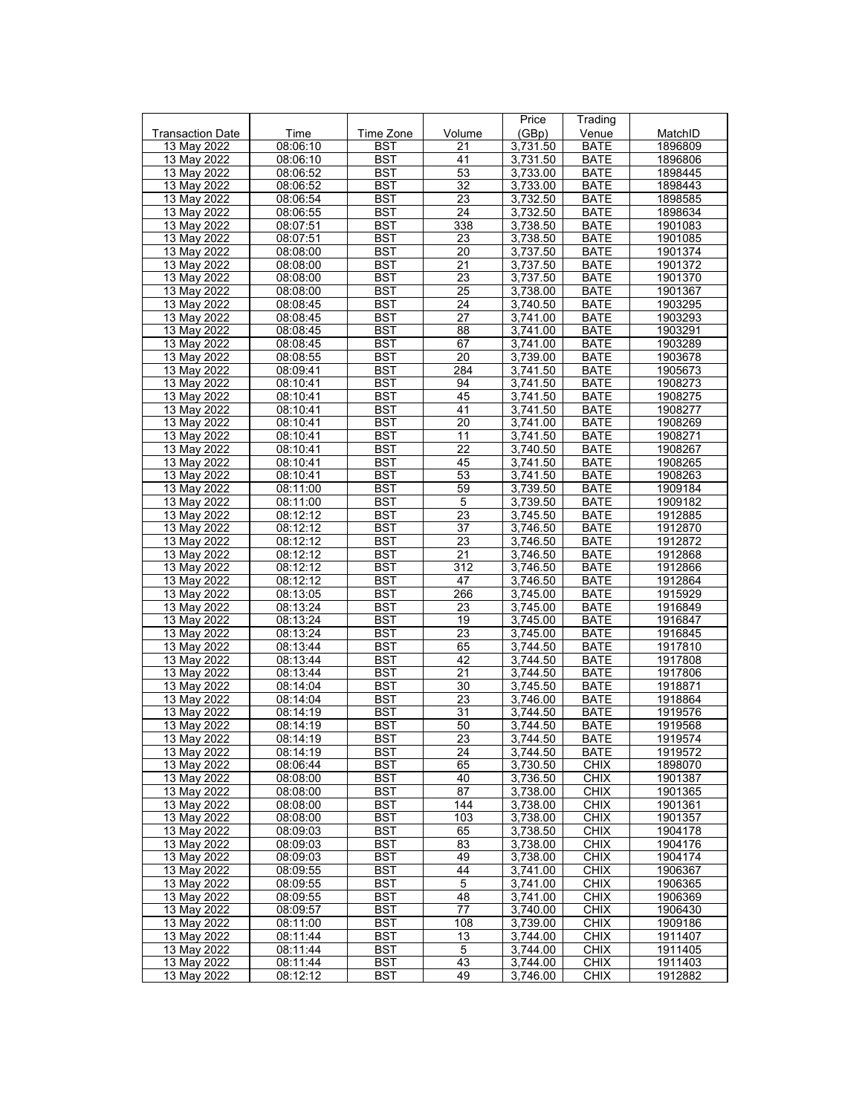|                         |          |            |                 | Price    | Trading     |         |
|-------------------------|----------|------------|-----------------|----------|-------------|---------|
| <b>Transaction Date</b> | Time     | Time Zone  | Volume          | (GBp)    | Venue       | MatchID |
| 13 May 2022             | 08:06:10 | BST        | 21              | 3,731.50 | <b>BATE</b> | 1896809 |
| 13 May 2022             | 08:06:10 | <b>BST</b> | 41              | 3,731.50 | <b>BATE</b> | 1896806 |
| 13 May 2022             | 08:06:52 | <b>BST</b> | 53              | 3,733.00 | <b>BATE</b> | 1898445 |
| 13 May 2022             | 08:06:52 | <b>BST</b> | $\overline{32}$ | 3,733.00 | <b>BATE</b> | 1898443 |
|                         |          |            |                 |          |             |         |
| 13 May 2022             | 08:06:54 | <b>BST</b> | 23              | 3,732.50 | <b>BATE</b> | 1898585 |
| 13 May 2022             | 08:06:55 | <b>BST</b> | 24              | 3,732.50 | <b>BATE</b> | 1898634 |
| 13 May 2022             | 08:07:51 | <b>BST</b> | 338             | 3,738.50 | BATE        | 1901083 |
| 13 May 2022             | 08:07:51 | <b>BST</b> | 23              | 3,738.50 | <b>BATE</b> | 1901085 |
| 13 May 2022             | 08:08:00 | <b>BST</b> | 20              | 3,737.50 | BATE        | 1901374 |
| 13 May 2022             | 08:08:00 | <b>BST</b> | 21              | 3,737.50 | <b>BATE</b> | 1901372 |
| 13 May 2022             | 08:08:00 | <b>BST</b> | 23              | 3,737.50 | <b>BATE</b> | 1901370 |
| 13 May 2022             | 08:08:00 | <b>BST</b> | 25              | 3.738.00 | BATE        | 1901367 |
| 13 May 2022             | 08:08:45 | <b>BST</b> | 24              | 3,740.50 | <b>BATE</b> | 1903295 |
| 13 May 2022             | 08:08:45 | <b>BST</b> | 27              | 3,741.00 | BATE        | 1903293 |
|                         |          |            |                 |          |             |         |
| 13 May 2022             | 08:08:45 | <b>BST</b> | 88              | 3,741.00 | <b>BATE</b> | 1903291 |
| 13 May 2022             | 08:08:45 | <b>BST</b> | 67              | 3,741.00 | <b>BATE</b> | 1903289 |
| 13 May 2022             | 08:08:55 | <b>BST</b> | 20              | 3,739.00 | <b>BATE</b> | 1903678 |
| 13 May 2022             | 08:09:41 | <b>BST</b> | 284             | 3,741.50 | <b>BATE</b> | 1905673 |
| 13 May 2022             | 08:10:41 | <b>BST</b> | 94              | 3,741.50 | <b>BATE</b> | 1908273 |
| 13 May 2022             | 08:10:41 | <b>BST</b> | 45              | 3,741.50 | <b>BATE</b> | 1908275 |
| 13 May 2022             | 08:10:41 | <b>BST</b> | 41              | 3.741.50 | BATE        | 1908277 |
| 13 May 2022             | 08:10:41 | <b>BST</b> | 20              | 3,741.00 | <b>BATE</b> | 1908269 |
| 13 May 2022             | 08:10:41 | <b>BST</b> | 11              | 3.741.50 | <b>BATE</b> | 1908271 |
| 13 May 2022             | 08:10:41 | BST        | 22              | 3,740.50 | <b>BATE</b> | 1908267 |
| 13 May 2022             | 08:10:41 | <b>BST</b> | 45              | 3,741.50 | BATE        | 1908265 |
|                         |          |            | 53              |          |             |         |
| 13 May 2022             | 08:10:41 | BST        |                 | 3,741.50 | BATE        | 1908263 |
| 13 May 2022             | 08:11:00 | <b>BST</b> | 59              | 3,739.50 | <b>BATE</b> | 1909184 |
| 13 May 2022             | 08:11:00 | <b>BST</b> | $\,$ 5 $\,$     | 3,739.50 | <b>BATE</b> | 1909182 |
| 13 May 2022             | 08:12:12 | <b>BST</b> | $\overline{23}$ | 3,745.50 | <b>BATE</b> | 1912885 |
| 13 May 2022             | 08:12:12 | <b>BST</b> | 37              | 3,746.50 | BATE        | 1912870 |
| 13 May 2022             | 08:12:12 | <b>BST</b> | 23              | 3,746.50 | <b>BATE</b> | 1912872 |
| 13 May 2022             | 08:12:12 | <b>BST</b> | 21              | 3,746.50 | BATE        | 1912868 |
| 13 May 2022             | 08:12:12 | <b>BST</b> | 312             | 3,746.50 | BATE        | 1912866 |
| 13 May 2022             | 08:12:12 | <b>BST</b> | 47              | 3,746.50 | BATE        | 1912864 |
| 13 May 2022             | 08:13:05 | <b>BST</b> | 266             | 3,745.00 | <b>BATE</b> | 1915929 |
| 13 May 2022             | 08:13:24 | <b>BST</b> | 23              | 3,745.00 | <b>BATE</b> | 1916849 |
| 13 May 2022             |          | <b>BST</b> | 19              | 3,745.00 | BATE        | 1916847 |
|                         | 08:13:24 |            |                 |          |             |         |
| 13 May 2022             | 08:13:24 | <b>BST</b> | 23              | 3,745.00 | <b>BATE</b> | 1916845 |
| 13 May 2022             | 08:13:44 | <b>BST</b> | 65              | 3,744.50 | BATE        | 1917810 |
| 13 May 2022             | 08:13:44 | <b>BST</b> | 42              | 3,744.50 | <b>BATE</b> | 1917808 |
| 13 May 2022             | 08:13:44 | <b>BST</b> | 21              | 3.744.50 | <b>BATE</b> | 1917806 |
| 13 May 2022             | 08:14:04 | <b>BST</b> | 30              | 3,745.50 | BATE        | 1918871 |
| 13 May 2022             | 08:14:04 | <b>BST</b> | 23              | 3,746.00 | <b>BATE</b> | 1918864 |
| 13 May 2022             | 08:14:19 | <b>BST</b> | 31              | 3,744.50 | <b>BATE</b> | 1919576 |
| 13 May 2022             | 08:14:19 | <b>BST</b> | 50              | 3,744.50 | BATE        | 1919568 |
| 13 May 2022             | 08:14:19 | <b>BST</b> | $\overline{23}$ | 3.744.50 | <b>BATE</b> | 1919574 |
| 13 May 2022             | 08:14:19 | BST        | 24              | 3,744.50 | <b>BATE</b> | 1919572 |
| 13 May 2022             | 08:06:44 | <b>BST</b> | 65              | 3,730.50 | <b>CHIX</b> | 1898070 |
| 13 May 2022             | 08:08:00 |            |                 |          | <b>CHIX</b> |         |
|                         |          | BST        | 40<br>87        | 3,736.50 |             | 1901387 |
| 13 May 2022             | 08:08:00 | BST        |                 | 3,738.00 | <b>CHIX</b> | 1901365 |
| 13 May 2022             | 08:08:00 | <b>BST</b> | 144             | 3,738.00 | <b>CHIX</b> | 1901361 |
| 13 May 2022             | 08:08:00 | <b>BST</b> | 103             | 3,738.00 | <b>CHIX</b> | 1901357 |
| 13 May 2022             | 08:09:03 | <b>BST</b> | 65              | 3,738.50 | <b>CHIX</b> | 1904178 |
| 13 May 2022             | 08:09:03 | <b>BST</b> | 83              | 3,738.00 | <b>CHIX</b> | 1904176 |
| 13 May 2022             | 08:09:03 | BST        | 49              | 3,738.00 | <b>CHIX</b> | 1904174 |
| 13 May 2022             | 08:09:55 | <b>BST</b> | 44              | 3,741.00 | <b>CHIX</b> | 1906367 |
| 13 May 2022             | 08:09:55 | <b>BST</b> | 5               | 3,741.00 | <b>CHIX</b> | 1906365 |
| 13 May 2022             | 08:09:55 | BST        | 48              | 3,741.00 | <b>CHIX</b> | 1906369 |
| 13 May 2022             | 08:09:57 | <b>BST</b> | 77              | 3,740.00 | <b>CHIX</b> | 1906430 |
| 13 May 2022             | 08:11:00 | <b>BST</b> | 108             | 3,739.00 | <b>CHIX</b> | 1909186 |
|                         |          |            | 13              | 3,744.00 |             | 1911407 |
| 13 May 2022             | 08:11:44 | <b>BST</b> |                 |          | <b>CHIX</b> |         |
| 13 May 2022             | 08:11:44 | BST        | 5               | 3,744.00 | <b>CHIX</b> | 1911405 |
| 13 May 2022             | 08:11:44 | BST        | 43              | 3,744.00 | <b>CHIX</b> | 1911403 |
| 13 May 2022             | 08:12:12 | <b>BST</b> | 49              | 3,746.00 | <b>CHIX</b> | 1912882 |